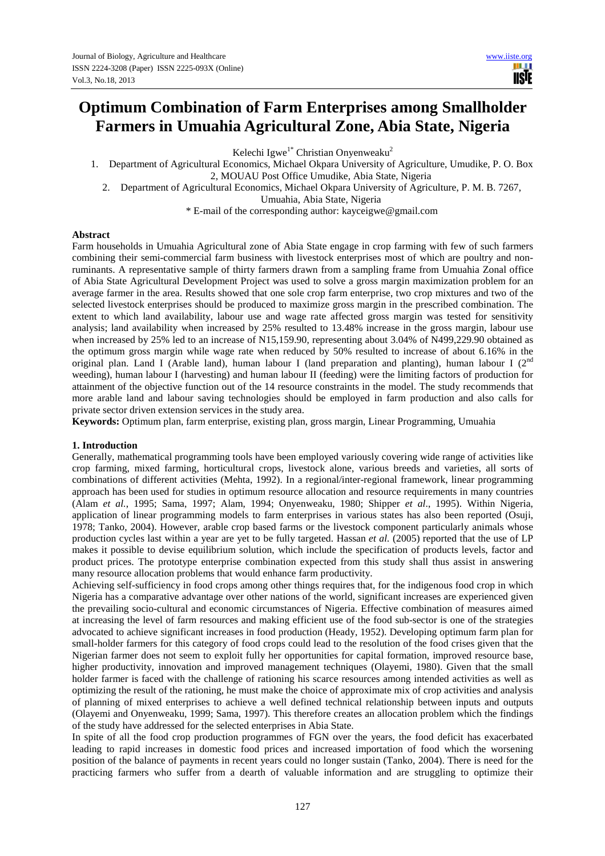Kelechi Igwe<sup>1\*</sup> Christian Onyenweaku<sup>2</sup>

m r lisie

1. Department of Agricultural Economics, Michael Okpara University of Agriculture, Umudike, P. O. Box

2, MOUAU Post Office Umudike, Abia State, Nigeria 2. Department of Agricultural Economics, Michael Okpara University of Agriculture, P. M. B. 7267,

Umuahia, Abia State, Nigeria

\* E-mail of the corresponding author: kayceigwe@gmail.com

## **Abstract**

Farm households in Umuahia Agricultural zone of Abia State engage in crop farming with few of such farmers combining their semi-commercial farm business with livestock enterprises most of which are poultry and nonruminants. A representative sample of thirty farmers drawn from a sampling frame from Umuahia Zonal office of Abia State Agricultural Development Project was used to solve a gross margin maximization problem for an average farmer in the area. Results showed that one sole crop farm enterprise, two crop mixtures and two of the selected livestock enterprises should be produced to maximize gross margin in the prescribed combination. The extent to which land availability, labour use and wage rate affected gross margin was tested for sensitivity analysis; land availability when increased by 25% resulted to 13.48% increase in the gross margin, labour use when increased by 25% led to an increase of N15,159.90, representing about 3.04% of N499,229.90 obtained as the optimum gross margin while wage rate when reduced by 50% resulted to increase of about 6.16% in the original plan. Land I (Arable land), human labour I (land preparation and planting), human labour I (2<sup>nd</sup> weeding), human labour I (harvesting) and human labour II (feeding) were the limiting factors of production for attainment of the objective function out of the 14 resource constraints in the model. The study recommends that more arable land and labour saving technologies should be employed in farm production and also calls for private sector driven extension services in the study area.

**Keywords:** Optimum plan, farm enterprise, existing plan, gross margin, Linear Programming, Umuahia

### **1. Introduction**

Generally, mathematical programming tools have been employed variously covering wide range of activities like crop farming, mixed farming, horticultural crops, livestock alone, various breeds and varieties, all sorts of combinations of different activities (Mehta, 1992). In a regional/inter-regional framework, linear programming approach has been used for studies in optimum resource allocation and resource requirements in many countries (Alam *et al.*, 1995; Sama, 1997; Alam, 1994; Onyenweaku, 1980; Shipper *et al*., 1995). Within Nigeria, application of linear programming models to farm enterprises in various states has also been reported (Osuji, 1978; Tanko, 2004). However, arable crop based farms or the livestock component particularly animals whose production cycles last within a year are yet to be fully targeted. Hassan *et al.* (2005) reported that the use of LP makes it possible to devise equilibrium solution, which include the specification of products levels, factor and product prices. The prototype enterprise combination expected from this study shall thus assist in answering many resource allocation problems that would enhance farm productivity.

Achieving self-sufficiency in food crops among other things requires that, for the indigenous food crop in which Nigeria has a comparative advantage over other nations of the world, significant increases are experienced given the prevailing socio-cultural and economic circumstances of Nigeria. Effective combination of measures aimed at increasing the level of farm resources and making efficient use of the food sub-sector is one of the strategies advocated to achieve significant increases in food production (Heady, 1952). Developing optimum farm plan for small-holder farmers for this category of food crops could lead to the resolution of the food crises given that the Nigerian farmer does not seem to exploit fully her opportunities for capital formation, improved resource base, higher productivity, innovation and improved management techniques (Olayemi, 1980). Given that the small holder farmer is faced with the challenge of rationing his scarce resources among intended activities as well as optimizing the result of the rationing, he must make the choice of approximate mix of crop activities and analysis of planning of mixed enterprises to achieve a well defined technical relationship between inputs and outputs (Olayemi and Onyenweaku, 1999; Sama, 1997). This therefore creates an allocation problem which the findings of the study have addressed for the selected enterprises in Abia State.

In spite of all the food crop production programmes of FGN over the years, the food deficit has exacerbated leading to rapid increases in domestic food prices and increased importation of food which the worsening position of the balance of payments in recent years could no longer sustain (Tanko, 2004). There is need for the practicing farmers who suffer from a dearth of valuable information and are struggling to optimize their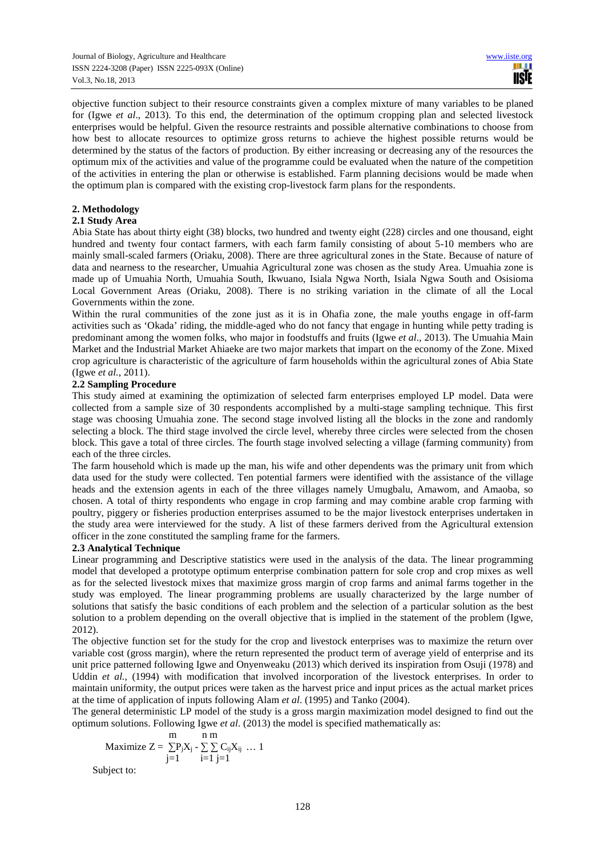objective function subject to their resource constraints given a complex mixture of many variables to be planed for (Igwe *et al*., 2013). To this end, the determination of the optimum cropping plan and selected livestock enterprises would be helpful. Given the resource restraints and possible alternative combinations to choose from how best to allocate resources to optimize gross returns to achieve the highest possible returns would be determined by the status of the factors of production. By either increasing or decreasing any of the resources the optimum mix of the activities and value of the programme could be evaluated when the nature of the competition of the activities in entering the plan or otherwise is established. Farm planning decisions would be made when the optimum plan is compared with the existing crop-livestock farm plans for the respondents.

## **2. Methodology**

## **2.1 Study Area**

Abia State has about thirty eight (38) blocks, two hundred and twenty eight (228) circles and one thousand, eight hundred and twenty four contact farmers, with each farm family consisting of about 5-10 members who are mainly small-scaled farmers (Oriaku, 2008). There are three agricultural zones in the State. Because of nature of data and nearness to the researcher, Umuahia Agricultural zone was chosen as the study Area. Umuahia zone is made up of Umuahia North, Umuahia South, Ikwuano, Isiala Ngwa North, Isiala Ngwa South and Osisioma Local Government Areas (Oriaku, 2008). There is no striking variation in the climate of all the Local Governments within the zone.

Within the rural communities of the zone just as it is in Ohafia zone, the male youths engage in off-farm activities such as 'Okada' riding, the middle-aged who do not fancy that engage in hunting while petty trading is predominant among the women folks, who major in foodstuffs and fruits (Igwe *et al*., 2013). The Umuahia Main Market and the Industrial Market Ahiaeke are two major markets that impart on the economy of the Zone. Mixed crop agriculture is characteristic of the agriculture of farm households within the agricultural zones of Abia State (Igwe *et al.*, 2011).

## **2.2 Sampling Procedure**

This study aimed at examining the optimization of selected farm enterprises employed LP model. Data were collected from a sample size of 30 respondents accomplished by a multi-stage sampling technique. This first stage was choosing Umuahia zone. The second stage involved listing all the blocks in the zone and randomly selecting a block. The third stage involved the circle level, whereby three circles were selected from the chosen block. This gave a total of three circles. The fourth stage involved selecting a village (farming community) from each of the three circles.

The farm household which is made up the man, his wife and other dependents was the primary unit from which data used for the study were collected. Ten potential farmers were identified with the assistance of the village heads and the extension agents in each of the three villages namely Umugbalu, Amawom, and Amaoba, so chosen. A total of thirty respondents who engage in crop farming and may combine arable crop farming with poultry, piggery or fisheries production enterprises assumed to be the major livestock enterprises undertaken in the study area were interviewed for the study. A list of these farmers derived from the Agricultural extension officer in the zone constituted the sampling frame for the farmers.

# **2.3 Analytical Technique**

Linear programming and Descriptive statistics were used in the analysis of the data. The linear programming model that developed a prototype optimum enterprise combination pattern for sole crop and crop mixes as well as for the selected livestock mixes that maximize gross margin of crop farms and animal farms together in the study was employed. The linear programming problems are usually characterized by the large number of solutions that satisfy the basic conditions of each problem and the selection of a particular solution as the best solution to a problem depending on the overall objective that is implied in the statement of the problem (Igwe, 2012).

The objective function set for the study for the crop and livestock enterprises was to maximize the return over variable cost (gross margin), where the return represented the product term of average yield of enterprise and its unit price patterned following Igwe and Onyenweaku (2013) which derived its inspiration from Osuji (1978) and Uddin *et al.,* (1994) with modification that involved incorporation of the livestock enterprises. In order to maintain uniformity, the output prices were taken as the harvest price and input prices as the actual market prices at the time of application of inputs following Alam *et al*. (1995) and Tanko (2004).

The general deterministic LP model of the study is a gross margin maximization model designed to find out the optimum solutions. Following Igwe *et al*. (2013) the model is specified mathematically as:

$$
\begin{matrix} m \\ m \end{matrix}
$$

$$
\text{Maximize } Z = \sum_{j=1} P_j X_j - \sum_{i=1} \sum_{j=1} C_{ij} X_{ij} \ \dots \ 1
$$

Subject to: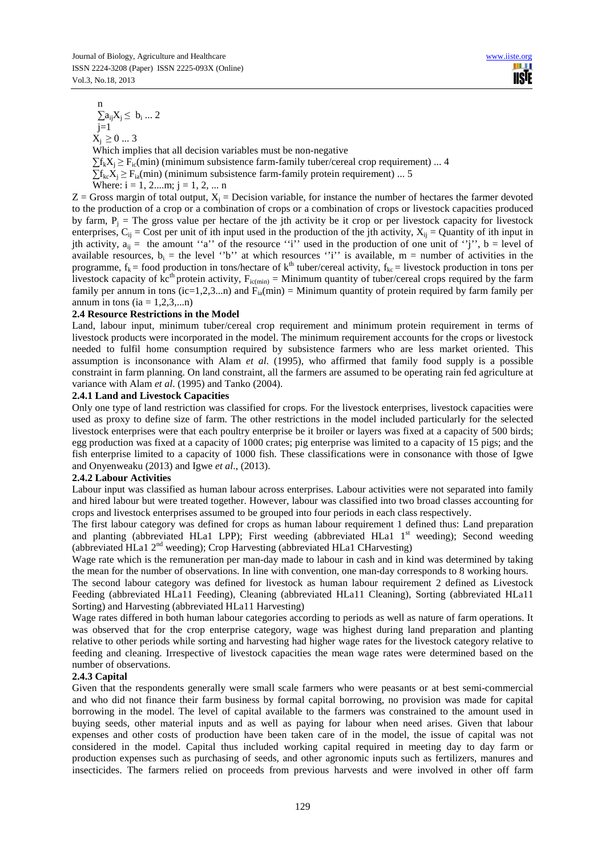$$
\overbrace{\text{www.ijste.org}}^{\text{www.ijste.org}}
$$

 n  $\sum a_{ij} X_j \leq b_i ... 2$  $j=1$  $X_i \geq 0$  ... 3

Which implies that all decision variables must be non-negative  $\sum f_k X_i \geq F_{i c}(\min)$  (minimum subsistence farm-family tuber/cereal crop requirement) ... 4  $\Sigma_{f_k}$  $\tilde{X}_i$  >  $F_{i_0}$ (min) (minimum subsistence farm-family protein requirement) ... 5 Where:  $i = 1, 2,...m$ ;  $j = 1, 2, ... n$ 

 $Z =$  Gross margin of total output,  $X_j =$  Decision variable, for instance the number of hectares the farmer devoted to the production of a crop or a combination of crops or a combination of crops or livestock capacities produced by farm,  $P_j$  = The gross value per hectare of the jth activity be it crop or per livestock capacity for livestock enterprises,  $C_{ij}$  = Cost per unit of ith input used in the production of the jth activity,  $X_{ij}$  = Quantity of ith input in jth activity,  $a_{ii}$  = the amount "a" of the resource "i" used in the production of one unit of "j", b = level of available resources,  $b_i$  = the level ''b'' at which resources ''i'' is available, m = number of activities in the programme,  $f_k$  = food production in tons/hectare of  $k<sup>th</sup>$  tuber/cereal activity,  $f_{kc}$  = livestock production in tons per livestock capacity of kc<sup>th</sup> protein activity,  $F_{ic(min)} =$  Minimum quantity of tuber/cereal crops required by the farm family per annum in tons (ic=1,2,3...n) and  $F_{ia}(min) =$  Minimum quantity of protein required by farm family per annum in tons (ia  $= 1, 2, 3,...n$ )

# **2.4 Resource Restrictions in the Model**

Land, labour input, minimum tuber/cereal crop requirement and minimum protein requirement in terms of livestock products were incorporated in the model. The minimum requirement accounts for the crops or livestock needed to fulfil home consumption required by subsistence farmers who are less market oriented. This assumption is inconsonance with Alam *et al*. (1995), who affirmed that family food supply is a possible constraint in farm planning. On land constraint, all the farmers are assumed to be operating rain fed agriculture at variance with Alam *et al*. (1995) and Tanko (2004).

### **2.4.1 Land and Livestock Capacities**

Only one type of land restriction was classified for crops. For the livestock enterprises, livestock capacities were used as proxy to define size of farm. The other restrictions in the model included particularly for the selected livestock enterprises were that each poultry enterprise be it broiler or layers was fixed at a capacity of 500 birds; egg production was fixed at a capacity of 1000 crates; pig enterprise was limited to a capacity of 15 pigs; and the fish enterprise limited to a capacity of 1000 fish. These classifications were in consonance with those of Igwe and Onyenweaku (2013) and Igwe *et al*., (2013).

### **2.4.2 Labour Activities**

Labour input was classified as human labour across enterprises. Labour activities were not separated into family and hired labour but were treated together. However, labour was classified into two broad classes accounting for crops and livestock enterprises assumed to be grouped into four periods in each class respectively.

The first labour category was defined for crops as human labour requirement 1 defined thus: Land preparation and planting (abbreviated HLa1 LPP); First weeding (abbreviated HLa1 1<sup>st</sup> weeding); Second weeding (abbreviated HLa1 2<sup>nd</sup> weeding); Crop Harvesting (abbreviated HLa1 CHarvesting)

Wage rate which is the remuneration per man-day made to labour in cash and in kind was determined by taking the mean for the number of observations. In line with convention, one man-day corresponds to 8 working hours.

The second labour category was defined for livestock as human labour requirement 2 defined as Livestock Feeding (abbreviated HLa11 Feeding), Cleaning (abbreviated HLa11 Cleaning), Sorting (abbreviated HLa11 Sorting) and Harvesting (abbreviated HLa11 Harvesting)

Wage rates differed in both human labour categories according to periods as well as nature of farm operations. It was observed that for the crop enterprise category, wage was highest during land preparation and planting relative to other periods while sorting and harvesting had higher wage rates for the livestock category relative to feeding and cleaning. Irrespective of livestock capacities the mean wage rates were determined based on the number of observations.

# **2.4.3 Capital**

Given that the respondents generally were small scale farmers who were peasants or at best semi-commercial and who did not finance their farm business by formal capital borrowing, no provision was made for capital borrowing in the model. The level of capital available to the farmers was constrained to the amount used in buying seeds, other material inputs and as well as paying for labour when need arises. Given that labour expenses and other costs of production have been taken care of in the model, the issue of capital was not considered in the model. Capital thus included working capital required in meeting day to day farm or production expenses such as purchasing of seeds, and other agronomic inputs such as fertilizers, manures and insecticides. The farmers relied on proceeds from previous harvests and were involved in other off farm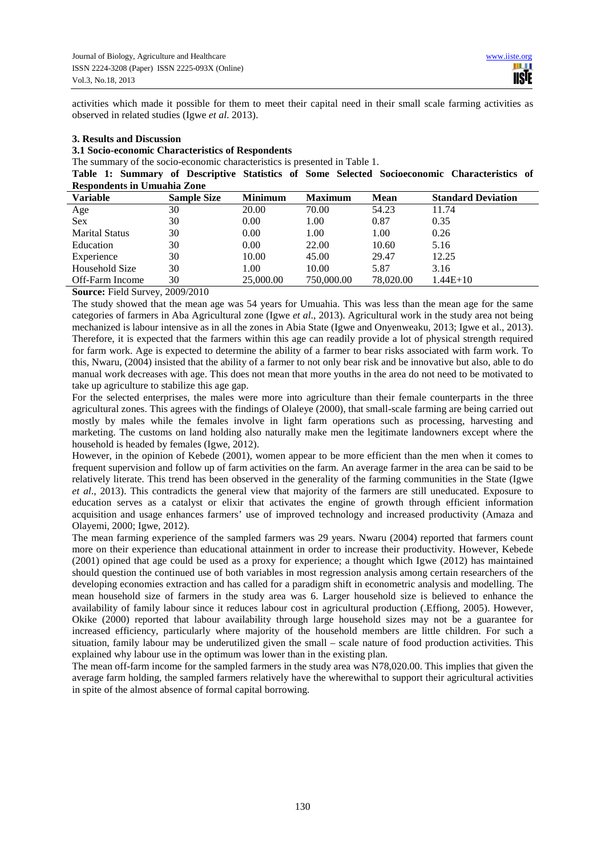activities which made it possible for them to meet their capital need in their small scale farming activities as observed in related studies (Igwe *et al*. 2013).

### **3. Results and Discussion**

# **3.1 Socio-economic Characteristics of Respondents**

The summary of the socio-economic characteristics is presented in Table 1.

**Table 1: Summary of Descriptive Statistics of Some Selected Socioeconomic Characteristics of Respondents in Umuahia Zone** 

| <b>Variable</b>       | <b>Sample Size</b> | <b>Minimum</b> | <b>Maximum</b> | Mean      | <b>Standard Deviation</b> |
|-----------------------|--------------------|----------------|----------------|-----------|---------------------------|
| Age                   | 30                 | 20.00          | 70.00          | 54.23     | 11.74                     |
| <b>Sex</b>            | 30                 | 0.00           | 1.00           | 0.87      | 0.35                      |
| <b>Marital Status</b> | 30                 | 0.00           | 1.00           | 1.00      | 0.26                      |
| Education             | 30                 | 0.00           | 22.00          | 10.60     | 5.16                      |
| Experience            | 30                 | 10.00          | 45.00          | 29.47     | 12.25                     |
| Household Size        | 30                 | 1.00           | 10.00          | 5.87      | 3.16                      |
| Off-Farm Income       | 30                 | 25,000.00      | 750,000.00     | 78,020.00 | $1.44E+10$                |
|                       |                    |                |                |           |                           |

**Source:** Field Survey, 2009/2010

The study showed that the mean age was 54 years for Umuahia. This was less than the mean age for the same categories of farmers in Aba Agricultural zone (Igwe *et al*., 2013). Agricultural work in the study area not being mechanized is labour intensive as in all the zones in Abia State (Igwe and Onyenweaku, 2013; Igwe et al., 2013). Therefore, it is expected that the farmers within this age can readily provide a lot of physical strength required for farm work. Age is expected to determine the ability of a farmer to bear risks associated with farm work. To this, Nwaru, (2004) insisted that the ability of a farmer to not only bear risk and be innovative but also, able to do manual work decreases with age. This does not mean that more youths in the area do not need to be motivated to take up agriculture to stabilize this age gap.

For the selected enterprises, the males were more into agriculture than their female counterparts in the three agricultural zones. This agrees with the findings of Olaleye (2000), that small-scale farming are being carried out mostly by males while the females involve in light farm operations such as processing, harvesting and marketing. The customs on land holding also naturally make men the legitimate landowners except where the household is headed by females (Igwe, 2012).

However, in the opinion of Kebede (2001), women appear to be more efficient than the men when it comes to frequent supervision and follow up of farm activities on the farm. An average farmer in the area can be said to be relatively literate. This trend has been observed in the generality of the farming communities in the State (Igwe *et al*., 2013). This contradicts the general view that majority of the farmers are still uneducated. Exposure to education serves as a catalyst or elixir that activates the engine of growth through efficient information acquisition and usage enhances farmers' use of improved technology and increased productivity (Amaza and Olayemi, 2000; Igwe, 2012).

The mean farming experience of the sampled farmers was 29 years. Nwaru (2004) reported that farmers count more on their experience than educational attainment in order to increase their productivity. However, Kebede (2001) opined that age could be used as a proxy for experience; a thought which Igwe (2012) has maintained should question the continued use of both variables in most regression analysis among certain researchers of the developing economies extraction and has called for a paradigm shift in econometric analysis and modelling. The mean household size of farmers in the study area was 6. Larger household size is believed to enhance the availability of family labour since it reduces labour cost in agricultural production (.Effiong, 2005). However, Okike (2000) reported that labour availability through large household sizes may not be a guarantee for increased efficiency, particularly where majority of the household members are little children. For such a situation, family labour may be underutilized given the small – scale nature of food production activities. This explained why labour use in the optimum was lower than in the existing plan.

The mean off-farm income for the sampled farmers in the study area was N78,020.00. This implies that given the average farm holding, the sampled farmers relatively have the wherewithal to support their agricultural activities in spite of the almost absence of formal capital borrowing.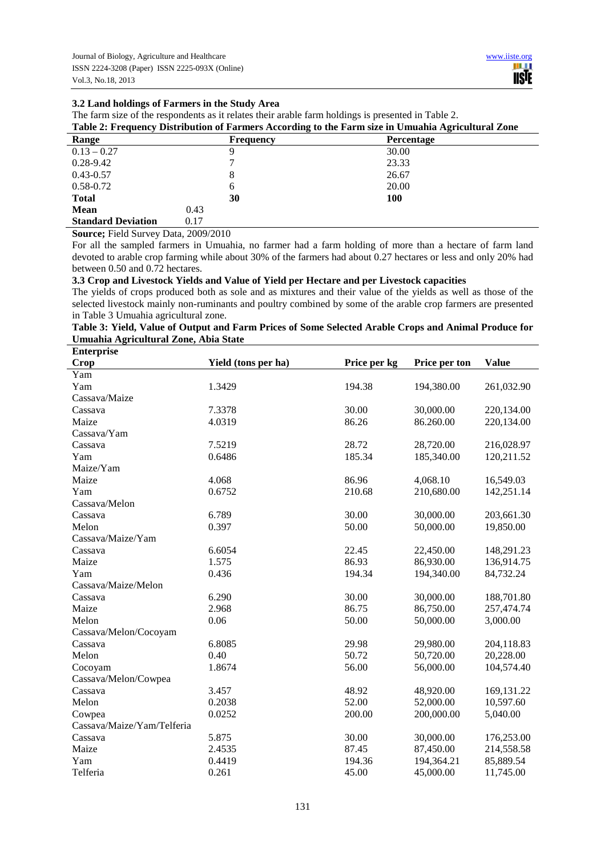# **3.2 Land holdings of Farmers in the Study Area**

The farm size of the respondents as it relates their arable farm holdings is presented in Table 2.

|  |  |  | Table 2: Frequency Distribution of Farmers According to the Farm size in Umuahia Agricultural Zone |
|--|--|--|----------------------------------------------------------------------------------------------------|
|--|--|--|----------------------------------------------------------------------------------------------------|

| Range                     | <b>Frequency</b> | Percentage |
|---------------------------|------------------|------------|
| $0.13 - 0.27$             | Q                | 30.00      |
| $0.28 - 9.42$             |                  | 23.33      |
| $0.43 - 0.57$             | 8                | 26.67      |
| $0.58 - 0.72$             | 6                | 20.00      |
| <b>Total</b>              | 30               | 100        |
| <b>Mean</b>               | 0.43             |            |
| <b>Standard Deviation</b> | 0.17             |            |

**Source;** Field Survey Data, 2009/2010

For all the sampled farmers in Umuahia, no farmer had a farm holding of more than a hectare of farm land devoted to arable crop farming while about 30% of the farmers had about 0.27 hectares or less and only 20% had between 0.50 and 0.72 hectares.

## **3.3 Crop and Livestock Yields and Value of Yield per Hectare and per Livestock capacities**

The yields of crops produced both as sole and as mixtures and their value of the yields as well as those of the selected livestock mainly non-ruminants and poultry combined by some of the arable crop farmers are presented in Table 3 Umuahia agricultural zone.

| Table 3: Yield, Value of Output and Farm Prices of Some Selected Arable Crops and Animal Produce for |
|------------------------------------------------------------------------------------------------------|
| Umuahia Agricultural Zone, Abia State                                                                |
| $\blacksquare$                                                                                       |

| <b>Enterprise</b>          |                     |              |               |              |
|----------------------------|---------------------|--------------|---------------|--------------|
| <b>Crop</b>                | Yield (tons per ha) | Price per kg | Price per ton | <b>Value</b> |
| Yam                        |                     |              |               |              |
| Yam                        | 1.3429              | 194.38       | 194,380.00    | 261,032.90   |
| Cassava/Maize              |                     |              |               |              |
| Cassava                    | 7.3378              | 30.00        | 30,000.00     | 220,134.00   |
| Maize                      | 4.0319              | 86.26        | 86.260.00     | 220,134.00   |
| Cassava/Yam                |                     |              |               |              |
| Cassava                    | 7.5219              | 28.72        | 28,720.00     | 216,028.97   |
| Yam                        | 0.6486              | 185.34       | 185,340.00    | 120,211.52   |
| Maize/Yam                  |                     |              |               |              |
| Maize                      | 4.068               | 86.96        | 4,068.10      | 16,549.03    |
| Yam                        | 0.6752              | 210.68       | 210,680.00    | 142,251.14   |
| Cassava/Melon              |                     |              |               |              |
| Cassava                    | 6.789               | 30.00        | 30,000.00     | 203,661.30   |
| Melon                      | 0.397               | 50.00        | 50,000.00     | 19,850.00    |
| Cassava/Maize/Yam          |                     |              |               |              |
| Cassava                    | 6.6054              | 22.45        | 22,450.00     | 148,291.23   |
| Maize                      | 1.575               | 86.93        | 86,930.00     | 136,914.75   |
| Yam                        | 0.436               | 194.34       | 194,340.00    | 84,732.24    |
| Cassava/Maize/Melon        |                     |              |               |              |
| Cassava                    | 6.290               | 30.00        | 30,000.00     | 188,701.80   |
| Maize                      | 2.968               | 86.75        | 86,750.00     | 257,474.74   |
| Melon                      | 0.06                | 50.00        | 50,000.00     | 3,000.00     |
| Cassava/Melon/Cocoyam      |                     |              |               |              |
| Cassava                    | 6.8085              | 29.98        | 29,980.00     | 204,118.83   |
| Melon                      | 0.40                | 50.72        | 50,720.00     | 20,228.00    |
| Cocoyam                    | 1.8674              | 56.00        | 56,000.00     | 104,574.40   |
| Cassava/Melon/Cowpea       |                     |              |               |              |
| Cassava                    | 3.457               | 48.92        | 48,920.00     | 169,131.22   |
| Melon                      | 0.2038              | 52.00        | 52,000.00     | 10,597.60    |
| Cowpea                     | 0.0252              | 200.00       | 200,000.00    | 5,040.00     |
| Cassava/Maize/Yam/Telferia |                     |              |               |              |
| Cassava                    | 5.875               | 30.00        | 30,000.00     | 176,253.00   |
| Maize                      | 2.4535              | 87.45        | 87,450.00     | 214,558.58   |
| Yam                        | 0.4419              | 194.36       | 194,364.21    | 85,889.54    |
| Telferia                   | 0.261               | 45.00        | 45,000.00     | 11,745.00    |
|                            |                     |              |               |              |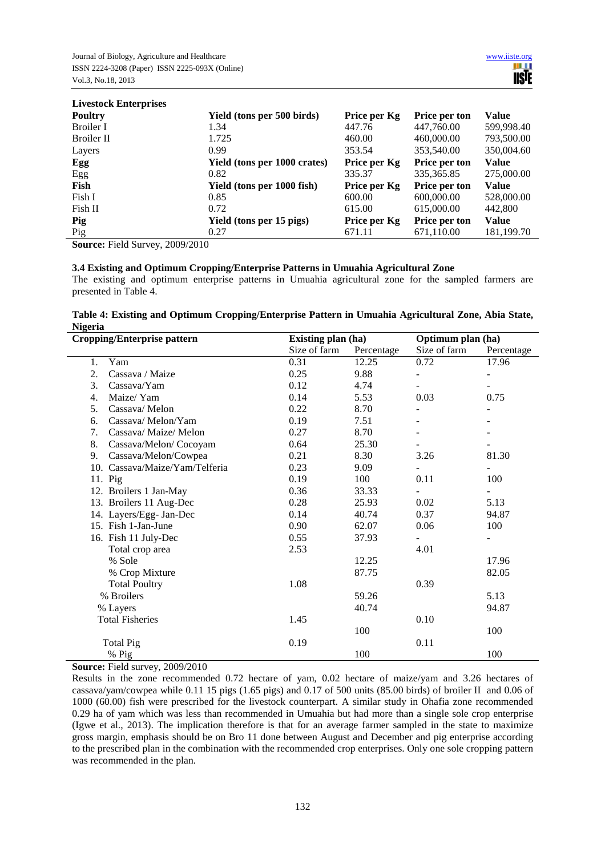**Livestock Enterprises** 

| LIVESTOCK Enterprises |                              |              |                      |              |
|-----------------------|------------------------------|--------------|----------------------|--------------|
| <b>Poultry</b>        | Yield (tons per 500 birds)   | Price per Kg | Price per ton        | Value        |
| Broiler I             | 1.34                         | 447.76       | 447,760.00           | 599,998.40   |
| Broiler II            | 1.725                        | 460.00       | 460,000.00           | 793,500.00   |
| Layers                | 0.99                         | 353.54       | 353,540.00           | 350,004.60   |
| Egg                   | Yield (tons per 1000 crates) | Price per Kg | Price per ton        | Value        |
| Egg                   | 0.82                         | 335.37       | 335, 365.85          | 275,000.00   |
| Fish                  | Yield (tons per 1000 fish)   | Price per Kg | <b>Price per ton</b> | <b>Value</b> |
| Fish I                | 0.85                         | 600.00       | 600,000.00           | 528,000.00   |
| Fish II               | 0.72                         | 615.00       | 615,000.00           | 442,800      |
| Pig                   | Yield (tons per 15 pigs)     | Price per Kg | Price per ton        | <b>Value</b> |
| Pig                   | 0.27                         | 671.11       | 671,110.00           | 181,199.70   |

**Source:** Field Survey, 2009/2010

# **3.4 Existing and Optimum Cropping/Enterprise Patterns in Umuahia Agricultural Zone**

The existing and optimum enterprise patterns in Umuahia agricultural zone for the sampled farmers are presented in Table 4.

# **Table 4: Existing and Optimum Cropping/Enterprise Pattern in Umuahia Agricultural Zone, Abia State, Nigeria**

| <b>Cropping/Enterprise pattern</b> |                                |              | <b>Existing plan (ha)</b> |                          | Optimum plan (ha) |  |
|------------------------------------|--------------------------------|--------------|---------------------------|--------------------------|-------------------|--|
|                                    |                                | Size of farm | Percentage                | Size of farm             | Percentage        |  |
| 1.                                 | Yam                            | 0.31         | 12.25                     | 0.72                     | 17.96             |  |
| 2.                                 | Cassava / Maize                | 0.25         | 9.88                      |                          |                   |  |
| 3.                                 | Cassava/Yam                    | 0.12         | 4.74                      | $\overline{\phantom{0}}$ |                   |  |
| 4.                                 | Maize/Yam                      | 0.14         | 5.53                      | 0.03                     | 0.75              |  |
| 5.                                 | Cassava/Melon                  | 0.22         | 8.70                      | $\overline{\phantom{a}}$ |                   |  |
| 6.                                 | Cassava/Melon/Yam              | 0.19         | 7.51                      |                          |                   |  |
| 7.                                 | Cassava/ Maize/ Melon          | 0.27         | 8.70                      |                          |                   |  |
| 8.                                 | Cassava/Melon/Cocoyam          | 0.64         | 25.30                     |                          |                   |  |
| 9.                                 | Cassava/Melon/Cowpea           | 0.21         | 8.30                      | 3.26                     | 81.30             |  |
|                                    | 10. Cassava/Maize/Yam/Telferia | 0.23         | 9.09                      |                          |                   |  |
| 11. Pig                            |                                | 0.19         | 100                       | 0.11                     | 100               |  |
|                                    | 12. Broilers 1 Jan-May         | 0.36         | 33.33                     |                          |                   |  |
|                                    | 13. Broilers 11 Aug-Dec        | 0.28         | 25.93                     | 0.02                     | 5.13              |  |
|                                    | 14. Layers/Egg- Jan-Dec        | 0.14         | 40.74                     | 0.37                     | 94.87             |  |
|                                    | 15. Fish 1-Jan-June            | 0.90         | 62.07                     | 0.06                     | 100               |  |
|                                    | 16. Fish 11 July-Dec           | 0.55         | 37.93                     |                          |                   |  |
|                                    | Total crop area                | 2.53         |                           | 4.01                     |                   |  |
|                                    | % Sole                         |              | 12.25                     |                          | 17.96             |  |
|                                    | % Crop Mixture                 |              | 87.75                     |                          | 82.05             |  |
|                                    | <b>Total Poultry</b>           | 1.08         |                           | 0.39                     |                   |  |
|                                    | % Broilers                     |              | 59.26                     |                          | 5.13              |  |
|                                    | % Layers                       |              | 40.74                     |                          | 94.87             |  |
|                                    | <b>Total Fisheries</b>         | 1.45         |                           | 0.10                     |                   |  |
|                                    |                                |              | 100                       |                          | 100               |  |
|                                    | <b>Total Pig</b>               | 0.19         |                           | 0.11                     |                   |  |
|                                    | % Pig                          |              | 100                       |                          | 100               |  |

**Source:** Field survey, 2009/2010

Results in the zone recommended 0.72 hectare of yam, 0.02 hectare of maize/yam and 3.26 hectares of cassava/yam/cowpea while 0.11 15 pigs (1.65 pigs) and 0.17 of 500 units (85.00 birds) of broiler II and 0.06 of 1000 (60.00) fish were prescribed for the livestock counterpart. A similar study in Ohafia zone recommended 0.29 ha of yam which was less than recommended in Umuahia but had more than a single sole crop enterprise (Igwe et al., 2013). The implication therefore is that for an average farmer sampled in the state to maximize gross margin, emphasis should be on Bro 11 done between August and December and pig enterprise according to the prescribed plan in the combination with the recommended crop enterprises. Only one sole cropping pattern was recommended in the plan.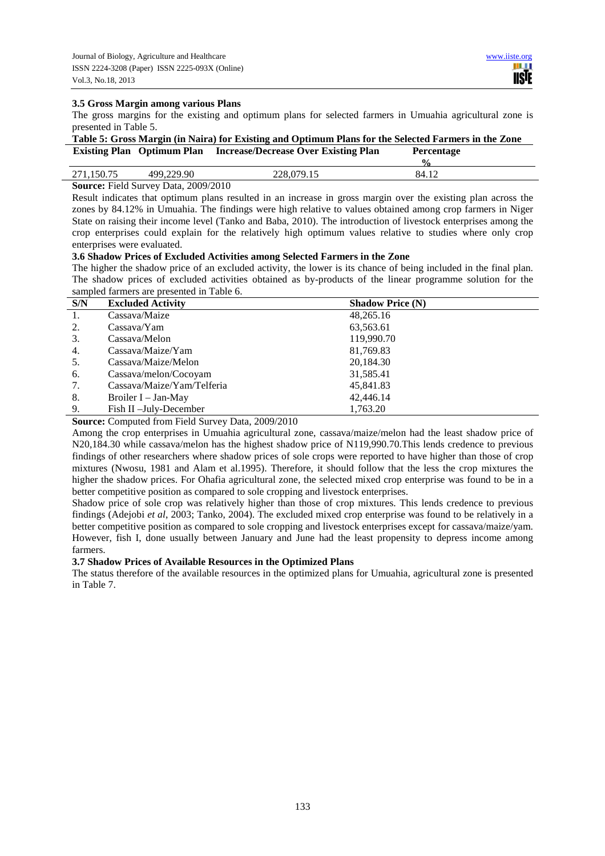### **3.5 Gross Margin among various Plans**

The gross margins for the existing and optimum plans for selected farmers in Umuahia agricultural zone is presented in Table 5.

|  | Table 5: Gross Margin (in Naira) for Existing and Optimum Plans for the Selected Farmers in the Zone |            |
|--|------------------------------------------------------------------------------------------------------|------------|
|  | <b>Existing Plan</b> Optimum Plan Increase/Decrease Over Existing Plan                               | Percentage |

|                                         |                 |                 | 0<br>'n  |  |
|-----------------------------------------|-----------------|-----------------|----------|--|
| ົ<br>$\sim$                             | $\Omega$<br>1QC | . .<br>$\cdots$ | $-84.12$ |  |
| 2000/2010<br>Courses Lield Current Dete |                 |                 |          |  |

### **Source:** Field Survey Data, 2009/2010

Result indicates that optimum plans resulted in an increase in gross margin over the existing plan across the zones by 84.12% in Umuahia. The findings were high relative to values obtained among crop farmers in Niger State on raising their income level (Tanko and Baba, 2010). The introduction of livestock enterprises among the crop enterprises could explain for the relatively high optimum values relative to studies where only crop enterprises were evaluated.

### **3.6 Shadow Prices of Excluded Activities among Selected Farmers in the Zone**

The higher the shadow price of an excluded activity, the lower is its chance of being included in the final plan. The shadow prices of excluded activities obtained as by-products of the linear programme solution for the sampled farmers are presented in Table 6.

| S/N | <b>Excluded Activity</b>   | <b>Shadow Price (N)</b> |
|-----|----------------------------|-------------------------|
| 1.  | Cassava/Maize              | 48,265.16               |
| 2.  | Cassava/Yam                | 63,563.61               |
| 3.  | Cassava/Melon              | 119,990.70              |
| 4.  | Cassava/Maize/Yam          | 81,769.83               |
| 5.  | Cassava/Maize/Melon        | 20,184.30               |
| 6.  | Cassava/melon/Cocoyam      | 31,585.41               |
| 7.  | Cassava/Maize/Yam/Telferia | 45,841.83               |
| 8.  | Broiler I – Jan-May        | 42,446.14               |
| 9.  | Fish II -July-December     | 1,763.20                |

**Source:** Computed from Field Survey Data, 2009/2010

Among the crop enterprises in Umuahia agricultural zone, cassava/maize/melon had the least shadow price of N20,184.30 while cassava/melon has the highest shadow price of N119,990.70.This lends credence to previous findings of other researchers where shadow prices of sole crops were reported to have higher than those of crop mixtures (Nwosu, 1981 and Alam et al.1995). Therefore, it should follow that the less the crop mixtures the higher the shadow prices. For Ohafia agricultural zone, the selected mixed crop enterprise was found to be in a better competitive position as compared to sole cropping and livestock enterprises.

Shadow price of sole crop was relatively higher than those of crop mixtures. This lends credence to previous findings (Adejobi *et al*, 2003; Tanko, 2004). The excluded mixed crop enterprise was found to be relatively in a better competitive position as compared to sole cropping and livestock enterprises except for cassava/maize/yam. However, fish I, done usually between January and June had the least propensity to depress income among farmers.

# **3.7 Shadow Prices of Available Resources in the Optimized Plans**

The status therefore of the available resources in the optimized plans for Umuahia, agricultural zone is presented in Table 7.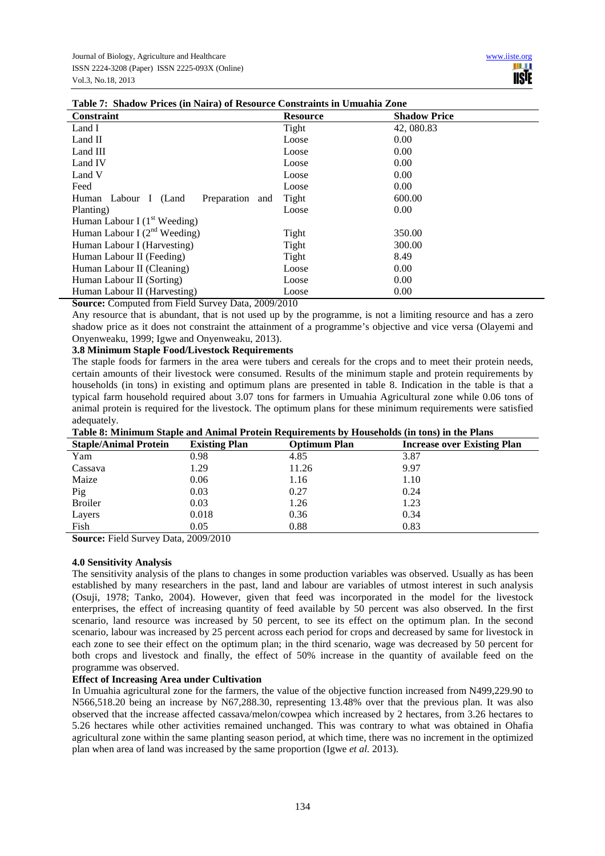| Constraint                              | <b>Resource</b> | <b>Shadow Price</b> |
|-----------------------------------------|-----------------|---------------------|
| Land I                                  | Tight           | 42, 080.83          |
| Land II                                 | Loose           | 0.00                |
| Land III                                | Loose           | 0.00                |
| Land IV                                 | Loose           | 0.00                |
| Land V                                  | Loose           | 0.00                |
| Feed                                    | Loose           | 0.00                |
| Preparation and<br>Human Labour I (Land | Tight           | 600.00              |
| Planting)                               | Loose           | 0.00                |
| Human Labour I $(1st Weeding)$          |                 |                     |
| Human Labour I $(2^{nd}$ Weeding)       | Tight           | 350.00              |
| Human Labour I (Harvesting)             | Tight           | 300.00              |
| Human Labour II (Feeding)               | Tight           | 8.49                |
| Human Labour II (Cleaning)              | Loose           | 0.00                |
| Human Labour II (Sorting)               | Loose           | 0.00                |
| Human Labour II (Harvesting)            | Loose           | 0.00                |

# **Table 7: Shadow Prices (in Naira) of Resource Constraints in Umuahia Zone**

**Source:** Computed from Field Survey Data, 2009/2010

Any resource that is abundant, that is not used up by the programme, is not a limiting resource and has a zero shadow price as it does not constraint the attainment of a programme's objective and vice versa (Olayemi and Onyenweaku, 1999; Igwe and Onyenweaku, 2013).

## **3.8 Minimum Staple Food/Livestock Requirements**

The staple foods for farmers in the area were tubers and cereals for the crops and to meet their protein needs, certain amounts of their livestock were consumed. Results of the minimum staple and protein requirements by households (in tons) in existing and optimum plans are presented in table 8. Indication in the table is that a typical farm household required about 3.07 tons for farmers in Umuahia Agricultural zone while 0.06 tons of animal protein is required for the livestock. The optimum plans for these minimum requirements were satisfied adequately.

| таже от выписан марк ана типиа ттокин кедан спеца от тюажноко (нг соют не стетано |                      |                     |                                    |  |  |
|-----------------------------------------------------------------------------------|----------------------|---------------------|------------------------------------|--|--|
| <b>Staple/Animal Protein</b>                                                      | <b>Existing Plan</b> | <b>Optimum Plan</b> | <b>Increase over Existing Plan</b> |  |  |
| Yam                                                                               | 0.98                 | 4.85                | 3.87                               |  |  |
| Cassava                                                                           | 1.29                 | 11.26               | 9.97                               |  |  |
| Maize                                                                             | 0.06                 | 1.16                | 1.10                               |  |  |
| Pig                                                                               | 0.03                 | 0.27                | 0.24                               |  |  |
| <b>Broiler</b>                                                                    | 0.03                 | 1.26                | 1.23                               |  |  |
| Layers                                                                            | 0.018                | 0.36                | 0.34                               |  |  |
| Fish                                                                              | 0.05                 | 0.88                | 0.83                               |  |  |

|  | Table 8: Minimum Staple and Animal Protein Requirements by Households (in tons) in the Plans |
|--|----------------------------------------------------------------------------------------------|
|--|----------------------------------------------------------------------------------------------|

**Source:** Field Survey Data, 2009/2010

### **4.0 Sensitivity Analysis**

The sensitivity analysis of the plans to changes in some production variables was observed. Usually as has been established by many researchers in the past, land and labour are variables of utmost interest in such analysis (Osuji, 1978; Tanko, 2004). However, given that feed was incorporated in the model for the livestock enterprises, the effect of increasing quantity of feed available by 50 percent was also observed. In the first scenario, land resource was increased by 50 percent, to see its effect on the optimum plan. In the second scenario, labour was increased by 25 percent across each period for crops and decreased by same for livestock in each zone to see their effect on the optimum plan; in the third scenario, wage was decreased by 50 percent for both crops and livestock and finally, the effect of 50% increase in the quantity of available feed on the programme was observed.

# **Effect of Increasing Area under Cultivation**

In Umuahia agricultural zone for the farmers, the value of the objective function increased from N499,229.90 to N566,518.20 being an increase by N67,288.30, representing 13.48% over that the previous plan. It was also observed that the increase affected cassava/melon/cowpea which increased by 2 hectares, from 3.26 hectares to 5.26 hectares while other activities remained unchanged. This was contrary to what was obtained in Ohafia agricultural zone within the same planting season period, at which time, there was no increment in the optimized plan when area of land was increased by the same proportion (Igwe *et al.* 2013).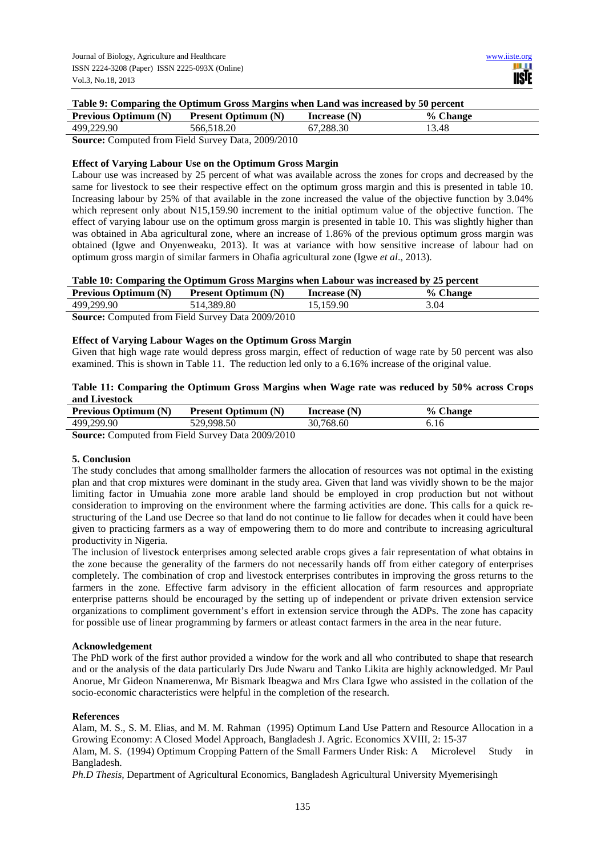# **Table 9: Comparing the Optimum Gross Margins when Land was increased by 50 percent**

| <b>Previous Optimum (N)</b> | <b>Present Optimum (N)</b>      | Increase $(N)$ | % Change |
|-----------------------------|---------------------------------|----------------|----------|
| 499,229.90                  | 566.518.20                      | 67.288.30      | 13.48    |
| $\alpha$ $\alpha$           | $\Gamma$ 110 $\Gamma$ 000000010 |                |          |

**Source:** Computed from Field Survey Data, 2009/2010

# **Effect of Varying Labour Use on the Optimum Gross Margin**

Labour use was increased by 25 percent of what was available across the zones for crops and decreased by the same for livestock to see their respective effect on the optimum gross margin and this is presented in table 10. Increasing labour by 25% of that available in the zone increased the value of the objective function by 3.04% which represent only about N15,159.90 increment to the initial optimum value of the objective function. The effect of varying labour use on the optimum gross margin is presented in table 10. This was slightly higher than was obtained in Aba agricultural zone, where an increase of 1.86% of the previous optimum gross margin was obtained (Igwe and Onyenweaku, 2013). It was at variance with how sensitive increase of labour had on optimum gross margin of similar farmers in Ohafia agricultural zone (Igwe *et al*., 2013).

## **Table 10: Comparing the Optimum Gross Margins when Labour was increased by 25 percent**

| <b>Previous Optimum (N)</b> | <b>Present Optimum (N)</b>                                | Increase $(N)$ | % Change |  |
|-----------------------------|-----------------------------------------------------------|----------------|----------|--|
| 499,299.90                  | 514.389.80                                                | 5.159.90       | 3.04     |  |
|                             | <b>Course:</b> Computed from Eight Current Deta 2000/2010 |                |          |  |

**Source:** Computed from Field Survey Data 2009/2010

## **Effect of Varying Labour Wages on the Optimum Gross Margin**

Given that high wage rate would depress gross margin, effect of reduction of wage rate by 50 percent was also examined. This is shown in Table 11. The reduction led only to a 6.16% increase of the original value.

## **Table 11: Comparing the Optimum Gross Margins when Wage rate was reduced by 50% across Crops and Livestock**

| <b>Previous Optimum (N)</b> | <b>Present Optimum (N)</b>                                       | Increase $(N)$ | <b>Change</b> |  |
|-----------------------------|------------------------------------------------------------------|----------------|---------------|--|
| 499,299.90                  | 529,998.50                                                       | 30.768.60      | 0.IO          |  |
| $\sim$                      | $\sim$ $\sim$ $\sim$ $\sim$ $\sim$ $\sim$ $\sim$ $\sim$<br>----- |                |               |  |

**Source:** Computed from Field Survey Data 2009/2010

### **5. Conclusion**

The study concludes that among smallholder farmers the allocation of resources was not optimal in the existing plan and that crop mixtures were dominant in the study area. Given that land was vividly shown to be the major limiting factor in Umuahia zone more arable land should be employed in crop production but not without consideration to improving on the environment where the farming activities are done. This calls for a quick restructuring of the Land use Decree so that land do not continue to lie fallow for decades when it could have been given to practicing farmers as a way of empowering them to do more and contribute to increasing agricultural productivity in Nigeria.

The inclusion of livestock enterprises among selected arable crops gives a fair representation of what obtains in the zone because the generality of the farmers do not necessarily hands off from either category of enterprises completely. The combination of crop and livestock enterprises contributes in improving the gross returns to the farmers in the zone. Effective farm advisory in the efficient allocation of farm resources and appropriate enterprise patterns should be encouraged by the setting up of independent or private driven extension service organizations to compliment government's effort in extension service through the ADPs. The zone has capacity for possible use of linear programming by farmers or atleast contact farmers in the area in the near future.

### **Acknowledgement**

The PhD work of the first author provided a window for the work and all who contributed to shape that research and or the analysis of the data particularly Drs Jude Nwaru and Tanko Likita are highly acknowledged. Mr Paul Anorue, Mr Gideon Nnamerenwa, Mr Bismark Ibeagwa and Mrs Clara Igwe who assisted in the collation of the socio-economic characteristics were helpful in the completion of the research.

### **References**

Alam, M. S., S. M. Elias, and M. M. Rahman (1995) Optimum Land Use Pattern and Resource Allocation in a Growing Economy: A Closed Model Approach, Bangladesh J. Agric. Economics XVIII, 2: 15-37

Alam, M. S. (1994) Optimum Cropping Pattern of the Small Farmers Under Risk: A Microlevel Study in Bangladesh.

*Ph.D Thesis,* Department of Agricultural Economics, Bangladesh Agricultural University Myemerisingh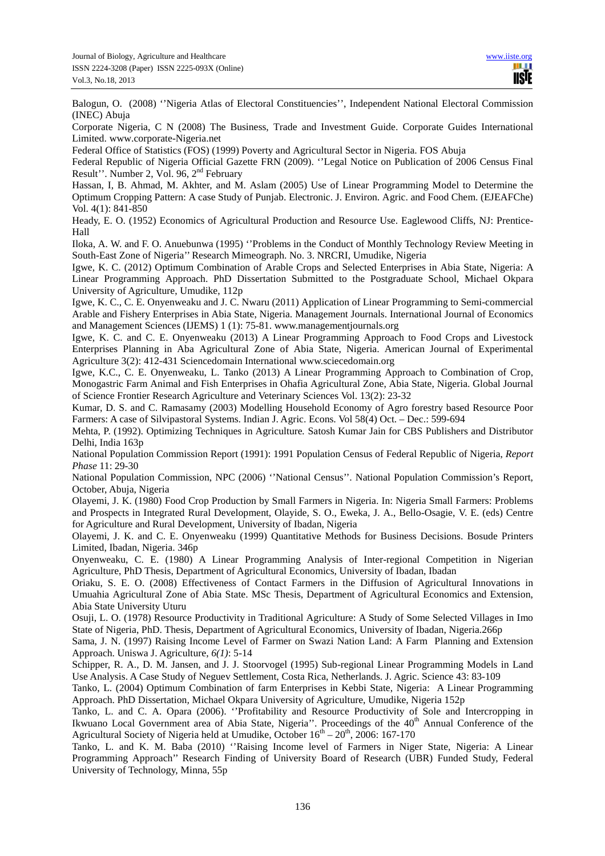Balogun, O. (2008) ''Nigeria Atlas of Electoral Constituencies'', Independent National Electoral Commission (INEC) Abuja

Corporate Nigeria, C N (2008) The Business, Trade and Investment Guide. Corporate Guides International Limited. www.corporate-Nigeria.net

Federal Office of Statistics (FOS) (1999) Poverty and Agricultural Sector in Nigeria. FOS Abuja

Federal Republic of Nigeria Official Gazette FRN (2009). ''Legal Notice on Publication of 2006 Census Final Result''. Number 2, Vol. 96, 2nd February

Hassan, I, B. Ahmad, M. Akhter, and M. Aslam (2005) Use of Linear Programming Model to Determine the Optimum Cropping Pattern: A case Study of Punjab. Electronic. J. Environ. Agric. and Food Chem. (EJEAFChe) Vol. 4(1): 841-850

Heady, E. O. (1952) Economics of Agricultural Production and Resource Use. Eaglewood Cliffs, NJ: Prentice-Hall

Iloka, A. W. and F. O. Anuebunwa (1995) ''Problems in the Conduct of Monthly Technology Review Meeting in South-East Zone of Nigeria'' Research Mimeograph. No. 3. NRCRI, Umudike, Nigeria

Igwe, K. C. (2012) Optimum Combination of Arable Crops and Selected Enterprises in Abia State, Nigeria: A Linear Programming Approach. PhD Dissertation Submitted to the Postgraduate School, Michael Okpara University of Agriculture, Umudike, 112p

Igwe, K. C., C. E. Onyenweaku and J. C. Nwaru (2011) Application of Linear Programming to Semi-commercial Arable and Fishery Enterprises in Abia State, Nigeria. Management Journals. International Journal of Economics and Management Sciences (IJEMS) 1 (1): 75-81. www.managementjournals.org

Igwe, K. C. and C. E. Onyenweaku (2013) A Linear Programming Approach to Food Crops and Livestock Enterprises Planning in Aba Agricultural Zone of Abia State, Nigeria. American Journal of Experimental Agriculture 3(2): 412-431 Sciencedomain International www.sciecedomain.org

Igwe, K.C., C. E. Onyenweaku, L. Tanko (2013) A Linear Programming Approach to Combination of Crop, Monogastric Farm Animal and Fish Enterprises in Ohafia Agricultural Zone, Abia State, Nigeria. Global Journal of Science Frontier Research Agriculture and Veterinary Sciences Vol. 13(2): 23-32

Kumar, D. S. and C. Ramasamy (2003) Modelling Household Economy of Agro forestry based Resource Poor Farmers: A case of Silvipastoral Systems. Indian J. Agric. Econs. Vol 58(4) Oct. – Dec.: 599-694

Mehta, P. (1992). Optimizing Techniques in Agriculture*.* Satosh Kumar Jain for CBS Publishers and Distributor Delhi, India 163p

National Population Commission Report (1991): 1991 Population Census of Federal Republic of Nigeria, *Report Phase* 11: 29-30

National Population Commission, NPC (2006) ''National Census''. National Population Commission's Report, October, Abuja, Nigeria

Olayemi, J. K. (1980) Food Crop Production by Small Farmers in Nigeria. In: Nigeria Small Farmers: Problems and Prospects in Integrated Rural Development, Olayide, S. O., Eweka, J. A., Bello-Osagie, V. E. (eds) Centre for Agriculture and Rural Development, University of Ibadan, Nigeria

Olayemi, J. K. and C. E. Onyenweaku (1999) Quantitative Methods for Business Decisions. Bosude Printers Limited, Ibadan, Nigeria. 346p

Onyenweaku, C. E. (1980) A Linear Programming Analysis of Inter-regional Competition in Nigerian Agriculture, PhD Thesis, Department of Agricultural Economics, University of Ibadan, Ibadan

Oriaku, S. E. O. (2008) Effectiveness of Contact Farmers in the Diffusion of Agricultural Innovations in Umuahia Agricultural Zone of Abia State. MSc Thesis, Department of Agricultural Economics and Extension, Abia State University Uturu

Osuji, L. O. (1978) Resource Productivity in Traditional Agriculture: A Study of Some Selected Villages in Imo State of Nigeria, PhD. Thesis*,* Department of Agricultural Economics, University of Ibadan, Nigeria.266p

Sama, J. N. (1997) Raising Income Level of Farmer on Swazi Nation Land: A Farm Planning and Extension Approach. Uniswa J. Agriculture, *6(1)*: 5-14

Schipper, R. A., D. M. Jansen, and J. J. Stoorvogel (1995) Sub-regional Linear Programming Models in Land Use Analysis. A Case Study of Neguev Settlement, Costa Rica, Netherlands. J. Agric. Science 43: 83-109

Tanko, L. (2004) Optimum Combination of farm Enterprises in Kebbi State, Nigeria: A Linear Programming Approach. PhD Dissertation*,* Michael Okpara University of Agriculture, Umudike, Nigeria 152p

Tanko, L. and C. A. Opara (2006). ''Profitability and Resource Productivity of Sole and Intercropping in Ikwuano Local Government area of Abia State, Nigeria''. Proceedings of the 40<sup>th</sup> Annual Conference of the Agricultural Society of Nigeria held at Umudike, October  $16^{th} - 20^{th}$ , 2006: 167-170

Tanko, L. and K. M. Baba (2010) ''Raising Income level of Farmers in Niger State, Nigeria: A Linear Programming Approach'' Research Finding of University Board of Research (UBR) Funded Study, Federal University of Technology, Minna, 55p